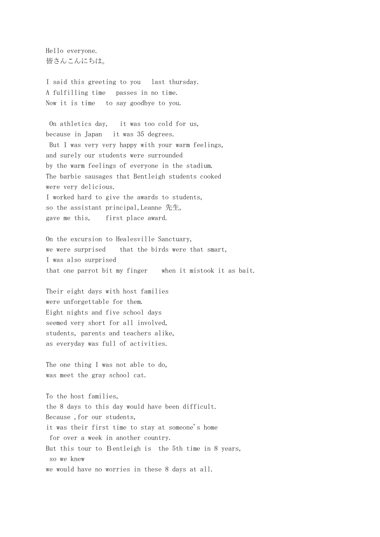Hello everyone. 皆さんこんにちは。

I said this greeting to you last thursday. A fulfilling time passes in no time. Now it is time to say goodbye to you.

On athletics day, it was too cold for us, because in Japan it was 35 degrees. But I was very very happy with your warm feelings, and surely our students were surrounded by the warm feelings of everyone in the stadium. The barbie sausages that Bentleigh students cooked were very delicious. I worked hard to give the awards to students, so the assistant principal,Leanne 先生, gave me this, first place award.

On the excursion to Healesville Sanctuary, we were surprised that the birds were that smart, I was also surprised that one parrot bit my finger when it mistook it as bait.

Their eight days with host families were unforgettable for them. Eight nights and five school days seemed very short for all involved, students, parents and teachers alike, as everyday was full of activities.

The one thing I was not able to do, was meet the gray school cat.

To the host families, the 8 days to this day would have been difficult. Because ,for our students, it was their first time to stay at someone's home for over a week in another country. But this tour to Bentleigh is the 5th time in 8 years, so we knew we would have no worries in these 8 days at all.